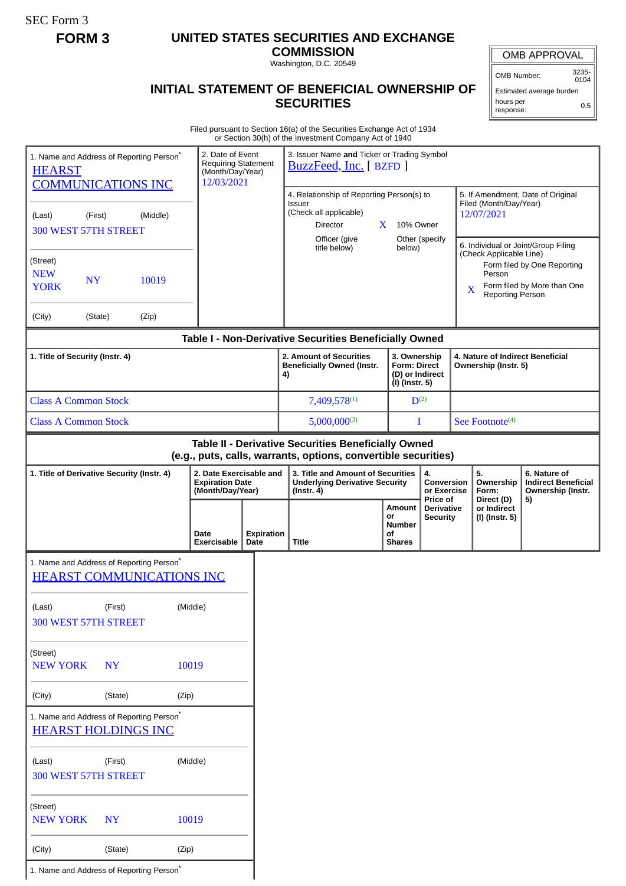SEC Form 3

## **FORM 3 UNITED STATES SECURITIES AND EXCHANGE**

**COMMISSION** Washington, D.C. 20549

## **INITIAL STATEMENT OF BENEFICIAL OWNERSHIP OF SECURITIES**

OMB APPROVAL

OMB Number: 3235- 0104

Estimated average burden hours per response: 0.5

Filed pursuant to Section 16(a) of the Securities Exchange Act of 1934 or Section 30(h) of the Investment Company Act of 1940

|                                                                                                                     |           |                                                                              |                                                                                                                        |                                                                           |                                                                                                      | or Section 30(n) or the investment Company Act of 1940                                                                |                                                                          |                                          |                                                                                                                  |                                      |                                                                                                                          |    |  |
|---------------------------------------------------------------------------------------------------------------------|-----------|------------------------------------------------------------------------------|------------------------------------------------------------------------------------------------------------------------|---------------------------------------------------------------------------|------------------------------------------------------------------------------------------------------|-----------------------------------------------------------------------------------------------------------------------|--------------------------------------------------------------------------|------------------------------------------|------------------------------------------------------------------------------------------------------------------|--------------------------------------|--------------------------------------------------------------------------------------------------------------------------|----|--|
| 1. Name and Address of Reporting Person*<br><b>HEARST</b>                                                           |           |                                                                              |                                                                                                                        | 2. Date of Event<br>Requiring Statement<br>(Month/Day/Year)<br>12/03/2021 |                                                                                                      | 3. Issuer Name and Ticker or Trading Symbol<br>BuzzFeed, Inc. [BZFD]                                                  |                                                                          |                                          |                                                                                                                  |                                      |                                                                                                                          |    |  |
| <b>COMMUNICATIONS INC</b><br>(Middle)<br>(Last)<br>(First)<br>300 WEST 57TH STREET                                  |           |                                                                              | 4. Relationship of Reporting Person(s) to<br>Issuer<br>(Check all applicable)<br><b>Director</b><br>X<br>Officer (give |                                                                           |                                                                                                      | 10% Owner                                                                                                             | Other (specify                                                           |                                          | 5. If Amendment, Date of Original<br>Filed (Month/Day/Year)<br>12/07/2021<br>6. Individual or Joint/Group Filing |                                      |                                                                                                                          |    |  |
| (Street)<br><b>NEW</b><br><b>YORK</b>                                                                               | <b>NY</b> | 10019                                                                        |                                                                                                                        |                                                                           |                                                                                                      | title below)                                                                                                          |                                                                          | below)                                   |                                                                                                                  |                                      | (Check Applicable Line)<br>Form filed by One Reporting<br>Person<br>Form filed by More than One<br>X<br>Reporting Person |    |  |
| (City)                                                                                                              | (State)   | (Zip)                                                                        |                                                                                                                        |                                                                           |                                                                                                      |                                                                                                                       |                                                                          |                                          |                                                                                                                  |                                      |                                                                                                                          |    |  |
|                                                                                                                     |           |                                                                              |                                                                                                                        |                                                                           |                                                                                                      | Table I - Non-Derivative Securities Beneficially Owned                                                                |                                                                          |                                          |                                                                                                                  |                                      |                                                                                                                          |    |  |
| 1. Title of Security (Instr. 4)                                                                                     |           |                                                                              |                                                                                                                        |                                                                           | 2. Amount of Securities<br><b>Beneficially Owned (Instr.</b><br>4)                                   |                                                                                                                       | 3. Ownership<br><b>Form: Direct</b><br>(D) or Indirect<br>(I) (Instr. 5) |                                          | 4. Nature of Indirect Beneficial<br>Ownership (Instr. 5)                                                         |                                      |                                                                                                                          |    |  |
| <b>Class A Common Stock</b>                                                                                         |           |                                                                              |                                                                                                                        |                                                                           |                                                                                                      | 7,409,578(1)                                                                                                          |                                                                          | $D^{(2)}$                                |                                                                                                                  |                                      |                                                                                                                          |    |  |
| <b>Class A Common Stock</b>                                                                                         |           |                                                                              |                                                                                                                        |                                                                           | $5,000,000^{(3)}$                                                                                    |                                                                                                                       |                                                                          | See Footnote <sup>(4)</sup><br>I         |                                                                                                                  |                                      |                                                                                                                          |    |  |
|                                                                                                                     |           |                                                                              |                                                                                                                        |                                                                           |                                                                                                      | Table II - Derivative Securities Beneficially Owned<br>(e.g., puts, calls, warrants, options, convertible securities) |                                                                          |                                          |                                                                                                                  |                                      |                                                                                                                          |    |  |
| 2. Date Exercisable and<br>1. Title of Derivative Security (Instr. 4)<br><b>Expiration Date</b><br>(Month/Day/Year) |           |                                                                              |                                                                                                                        |                                                                           | 3. Title and Amount of Securities<br>4.<br><b>Underlying Derivative Security</b><br>$($ lnstr. 4 $)$ |                                                                                                                       |                                                                          | Conversion<br>or Exercise                |                                                                                                                  | 5 <sub>1</sub><br>Ownership<br>Form: | 6. Nature of<br><b>Indirect Beneficial</b><br>Ownership (Instr.                                                          |    |  |
|                                                                                                                     |           |                                                                              | Date<br>Exercisable                                                                                                    | Date                                                                      | <b>Expiration</b>                                                                                    | <b>Title</b>                                                                                                          | or<br>οf                                                                 | <b>Amount</b><br>Number<br><b>Shares</b> | Price of<br>Derivative<br><b>Security</b>                                                                        |                                      | Direct (D)<br>or Indirect<br>(I) (Instr. 5)                                                                              | 5) |  |
|                                                                                                                     |           | 1. Name and Address of Reporting Person*<br><b>HEARST COMMUNICATIONS INC</b> |                                                                                                                        |                                                                           |                                                                                                      |                                                                                                                       |                                                                          |                                          |                                                                                                                  |                                      |                                                                                                                          |    |  |
| (Last)<br>300 WEST 57TH STREET                                                                                      | (First)   |                                                                              | (Middle)                                                                                                               |                                                                           |                                                                                                      |                                                                                                                       |                                                                          |                                          |                                                                                                                  |                                      |                                                                                                                          |    |  |
| (Street)<br><b>NEW YORK</b>                                                                                         | <b>NY</b> |                                                                              | 10019                                                                                                                  |                                                                           |                                                                                                      |                                                                                                                       |                                                                          |                                          |                                                                                                                  |                                      |                                                                                                                          |    |  |
| (City)                                                                                                              | (State)   |                                                                              | (Zip)                                                                                                                  |                                                                           |                                                                                                      |                                                                                                                       |                                                                          |                                          |                                                                                                                  |                                      |                                                                                                                          |    |  |
| <b>HEARST HOLDINGS INC</b>                                                                                          |           | 1. Name and Address of Reporting Person*                                     |                                                                                                                        |                                                                           |                                                                                                      |                                                                                                                       |                                                                          |                                          |                                                                                                                  |                                      |                                                                                                                          |    |  |
| (Middle)<br>(Last)<br>(First)<br>300 WEST 57TH STREET                                                               |           |                                                                              |                                                                                                                        |                                                                           |                                                                                                      |                                                                                                                       |                                                                          |                                          |                                                                                                                  |                                      |                                                                                                                          |    |  |
| (Street)<br><b>NEW YORK</b>                                                                                         | <b>NY</b> |                                                                              | 10019                                                                                                                  |                                                                           |                                                                                                      |                                                                                                                       |                                                                          |                                          |                                                                                                                  |                                      |                                                                                                                          |    |  |
| (City)                                                                                                              | (State)   |                                                                              | (Zip)                                                                                                                  |                                                                           |                                                                                                      |                                                                                                                       |                                                                          |                                          |                                                                                                                  |                                      |                                                                                                                          |    |  |
|                                                                                                                     |           | 1. Name and Address of Reporting Person <sup>*</sup>                         |                                                                                                                        |                                                                           |                                                                                                      |                                                                                                                       |                                                                          |                                          |                                                                                                                  |                                      |                                                                                                                          |    |  |
|                                                                                                                     |           |                                                                              |                                                                                                                        |                                                                           |                                                                                                      |                                                                                                                       |                                                                          |                                          |                                                                                                                  |                                      |                                                                                                                          |    |  |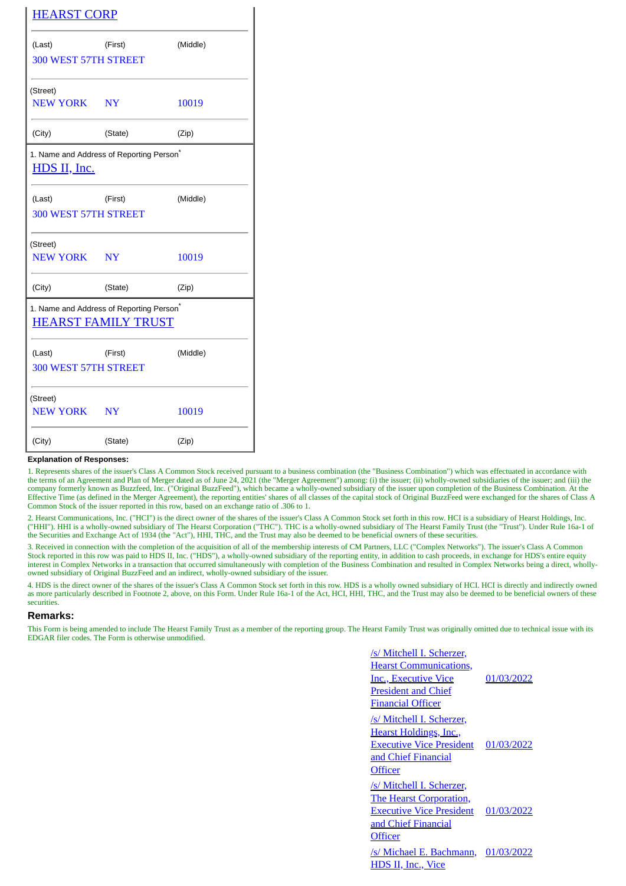| <b>HEARST CORP</b>                                                                 |         |          |  |  |  |  |  |  |
|------------------------------------------------------------------------------------|---------|----------|--|--|--|--|--|--|
| (Last)                                                                             | (First) | (Middle) |  |  |  |  |  |  |
| <b>300 WEST 57TH STREET</b>                                                        |         |          |  |  |  |  |  |  |
| (Street)<br>NEW YORK NY                                                            |         | 10019    |  |  |  |  |  |  |
| (City)                                                                             | (State) | (Zip)    |  |  |  |  |  |  |
| 1. Name and Address of Reporting Person <sup>®</sup><br><u>HDS II, Inc.</u>        |         |          |  |  |  |  |  |  |
| (Last)<br><b>300 WEST 57TH STREET</b>                                              | (First) | (Middle) |  |  |  |  |  |  |
| (Street)<br>NEW YORK NY                                                            |         | 10019    |  |  |  |  |  |  |
| (City)                                                                             | (State) | (Zip)    |  |  |  |  |  |  |
| 1. Name and Address of Reporting Person <sup>®</sup><br><b>HEARST FAMILY TRUST</b> |         |          |  |  |  |  |  |  |
| (Last)<br><b>300 WEST 57TH STREET</b>                                              | (First) | (Middle) |  |  |  |  |  |  |
| (Street)<br>NEW YORK NY                                                            |         | 10019    |  |  |  |  |  |  |
| (City)                                                                             | (State) | (Zip)    |  |  |  |  |  |  |

## **Explanation of Responses:**

1. Represents shares of the issuer's Class A Common Stock received pursuant to a business combination (the "Business Combination") which was effectuated in accordance with the terms of an Agreement and Plan of Merger dated as of June 24, 2021 (the "Merger Agreement") among: (i) the issuer; (ii) wholly-owned subsidiaries of the issuer; and (iii) the company formerly known as Buzzfeed, Inc. ("Original BuzzFeed"), which became a wholly-owned subsidiary of the issuer upon completion of the Business Combination. At the Effective Time (as defined in the Merger Agreement), the reporting entities' shares of all classes of the capital stock of Original BuzzFeed were exchanged for the shares of Class A Common Stock of the issuer reported in this row, based on an exchange ratio of .306 to 1.

2. Hearst Communications, Inc. ("HCI") is the direct owner of the shares of the issuer's Class A Common Stock set forth in this row. HCI is a subsidiary of Hearst Holdings, Inc. ("HHI"). HHI is a wholly-owned subsidiary of The Hearst Corporation ("THC"). THC is a wholly-owned subsidiary of The Hearst Family Trust (the "Trust"). Under Rule 16a-1 of the Securities and Exchange Act of 1934 (the "Act"), HHI, THC, and the Trust may also be deemed to be beneficial owners of these securities.

3. Received in connection with the completion of the acquisition of all of the membership interests of CM Partners, LLC ("Complex Networks"). The issuer's Class A Common Stock reported in this row was paid to HDS II, Inc. ("HDS"), a wholly-owned subsidiary of the reporting entity, in addition to cash proceeds, in exchange for HDS's entire equity interest in Complex Networks in a transaction that occurred simultaneously with completion of the Business Combination and resulted in Complex Networks being a direct, whollyowned subsidiary of Original BuzzFeed and an indirect, wholly-owned subsidiary of the issuer.

4. HDS is the direct owner of the shares of the issuer's Class A Common Stock set forth in this row. HDS is a wholly owned subsidiary of HCI. HCI is directly and indirectly owned as more particularly described in Footnote 2, above, on this Form. Under Rule 16a-1 of the Act, HCI, HHI, THC, and the Trust may also be deemed to be beneficial owners of these securities.

## **Remarks:**

This Form is being amended to include The Hearst Family Trust as a member of the reporting group. The Hearst Family Trust was originally omitted due to technical issue with its EDGAR filer codes. The Form is otherwise unmodified.

| /s/ Mitchell I. Scherzer,       |            |
|---------------------------------|------------|
| <b>Hearst Communications,</b>   |            |
| <b>Inc., Executive Vice</b>     | 01/03/2022 |
| <b>President and Chief</b>      |            |
| Financial Officer               |            |
| /s/ Mitchell I. Scherzer,       |            |
| <b>Hearst Holdings, Inc.,</b>   |            |
| <b>Executive Vice President</b> | 01/03/2022 |
| and Chief Financial             |            |
| <b>Officer</b>                  |            |
| /s/ Mitchell I. Scherzer,       |            |
| The Hearst Corporation,         |            |
| <b>Executive Vice President</b> | 01/03/2022 |
| and Chief Financial             |            |
| <b>Officer</b>                  |            |
| /s/ Michael E. Bachmann,        | 01/03/2022 |
| <b>HDS II, Inc., Vice</b>       |            |